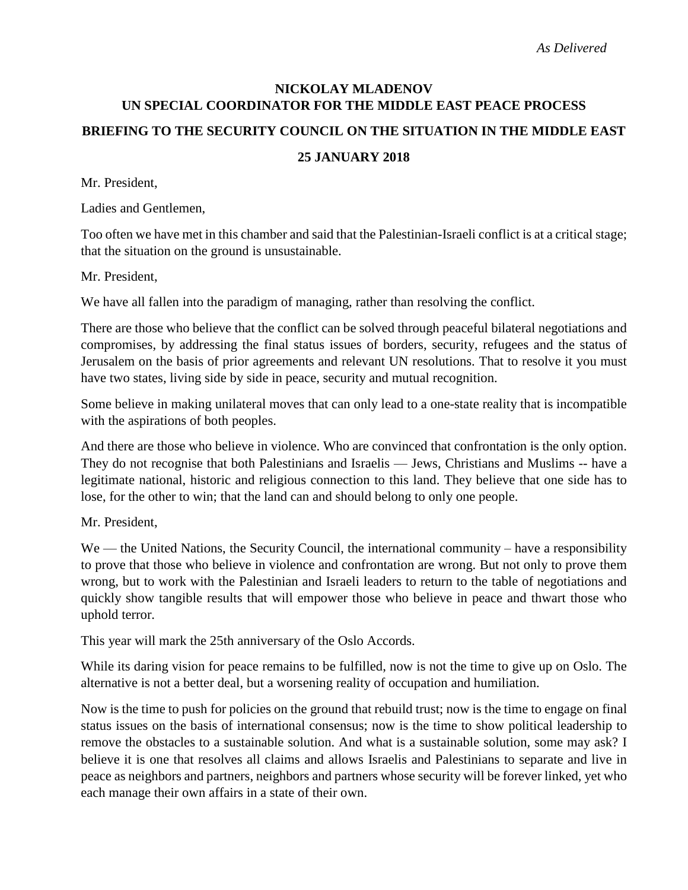# **NICKOLAY MLADENOV UN SPECIAL COORDINATOR FOR THE MIDDLE EAST PEACE PROCESS BRIEFING TO THE SECURITY COUNCIL ON THE SITUATION IN THE MIDDLE EAST**

## **25 JANUARY 2018**

Mr. President,

Ladies and Gentlemen,

Too often we have met in this chamber and said that the Palestinian-Israeli conflict is at a critical stage; that the situation on the ground is unsustainable.

Mr. President,

We have all fallen into the paradigm of managing, rather than resolving the conflict.

There are those who believe that the conflict can be solved through peaceful bilateral negotiations and compromises, by addressing the final status issues of borders, security, refugees and the status of Jerusalem on the basis of prior agreements and relevant UN resolutions. That to resolve it you must have two states, living side by side in peace, security and mutual recognition.

Some believe in making unilateral moves that can only lead to a one-state reality that is incompatible with the aspirations of both peoples.

And there are those who believe in violence. Who are convinced that confrontation is the only option. They do not recognise that both Palestinians and Israelis — Jews, Christians and Muslims -- have a legitimate national, historic and religious connection to this land. They believe that one side has to lose, for the other to win; that the land can and should belong to only one people.

Mr. President,

We — the United Nations, the Security Council, the international community – have a responsibility to prove that those who believe in violence and confrontation are wrong. But not only to prove them wrong, but to work with the Palestinian and Israeli leaders to return to the table of negotiations and quickly show tangible results that will empower those who believe in peace and thwart those who uphold terror.

This year will mark the 25th anniversary of the Oslo Accords.

While its daring vision for peace remains to be fulfilled, now is not the time to give up on Oslo. The alternative is not a better deal, but a worsening reality of occupation and humiliation.

Now is the time to push for policies on the ground that rebuild trust; now is the time to engage on final status issues on the basis of international consensus; now is the time to show political leadership to remove the obstacles to a sustainable solution. And what is a sustainable solution, some may ask? I believe it is one that resolves all claims and allows Israelis and Palestinians to separate and live in peace as neighbors and partners, neighbors and partners whose security will be forever linked, yet who each manage their own affairs in a state of their own.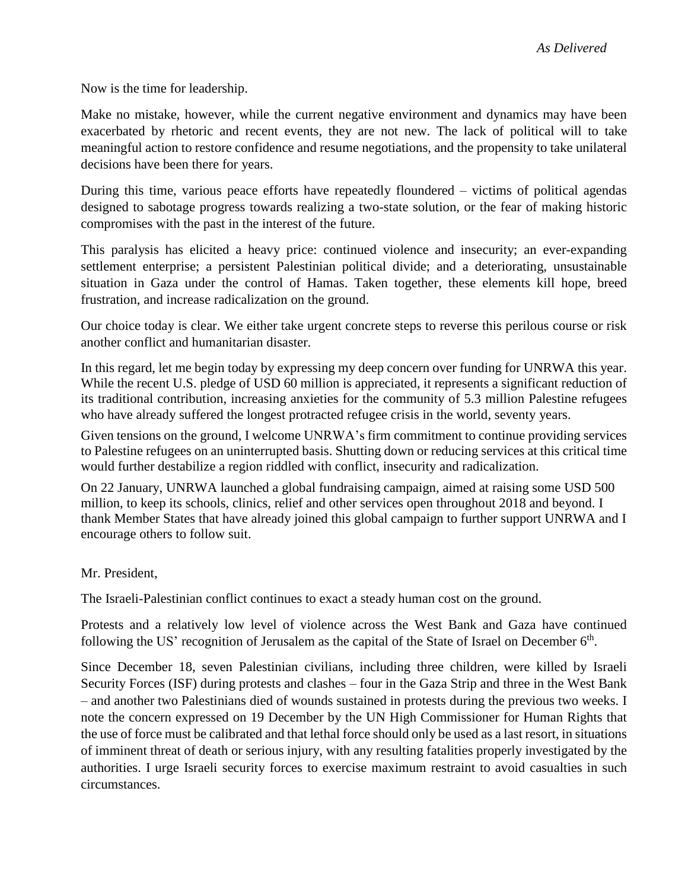Now is the time for leadership.

Make no mistake, however, while the current negative environment and dynamics may have been exacerbated by rhetoric and recent events, they are not new. The lack of political will to take meaningful action to restore confidence and resume negotiations, and the propensity to take unilateral decisions have been there for years.

During this time, various peace efforts have repeatedly floundered – victims of political agendas designed to sabotage progress towards realizing a two-state solution, or the fear of making historic compromises with the past in the interest of the future.

This paralysis has elicited a heavy price: continued violence and insecurity; an ever-expanding settlement enterprise; a persistent Palestinian political divide; and a deteriorating, unsustainable situation in Gaza under the control of Hamas. Taken together, these elements kill hope, breed frustration, and increase radicalization on the ground.

Our choice today is clear. We either take urgent concrete steps to reverse this perilous course or risk another conflict and humanitarian disaster.

In this regard, let me begin today by expressing my deep concern over funding for UNRWA this year. While the recent U.S. pledge of USD 60 million is appreciated, it represents a significant reduction of its traditional contribution, increasing anxieties for the community of 5.3 million Palestine refugees who have already suffered the longest protracted refugee crisis in the world, seventy years.

Given tensions on the ground, I welcome UNRWA's firm commitment to continue providing services to Palestine refugees on an uninterrupted basis. Shutting down or reducing services at this critical time would further destabilize a region riddled with conflict, insecurity and radicalization.

On 22 January, UNRWA launched a global fundraising campaign, aimed at raising some USD 500 million, to keep its schools, clinics, relief and other services open throughout 2018 and beyond. I thank Member States that have already joined this global campaign to further support UNRWA and I encourage others to follow suit.

### Mr. President,

The Israeli-Palestinian conflict continues to exact a steady human cost on the ground.

Protests and a relatively low level of violence across the West Bank and Gaza have continued following the US' recognition of Jerusalem as the capital of the State of Israel on December  $6<sup>th</sup>$ .

Since December 18, seven Palestinian civilians, including three children, were killed by Israeli Security Forces (ISF) during protests and clashes – four in the Gaza Strip and three in the West Bank – and another two Palestinians died of wounds sustained in protests during the previous two weeks. I note the concern expressed on 19 December by the UN High Commissioner for Human Rights that the use of force must be calibrated and that lethal force should only be used as a last resort, in situations of imminent threat of death or serious injury, with any resulting fatalities properly investigated by the authorities. I urge Israeli security forces to exercise maximum restraint to avoid casualties in such circumstances.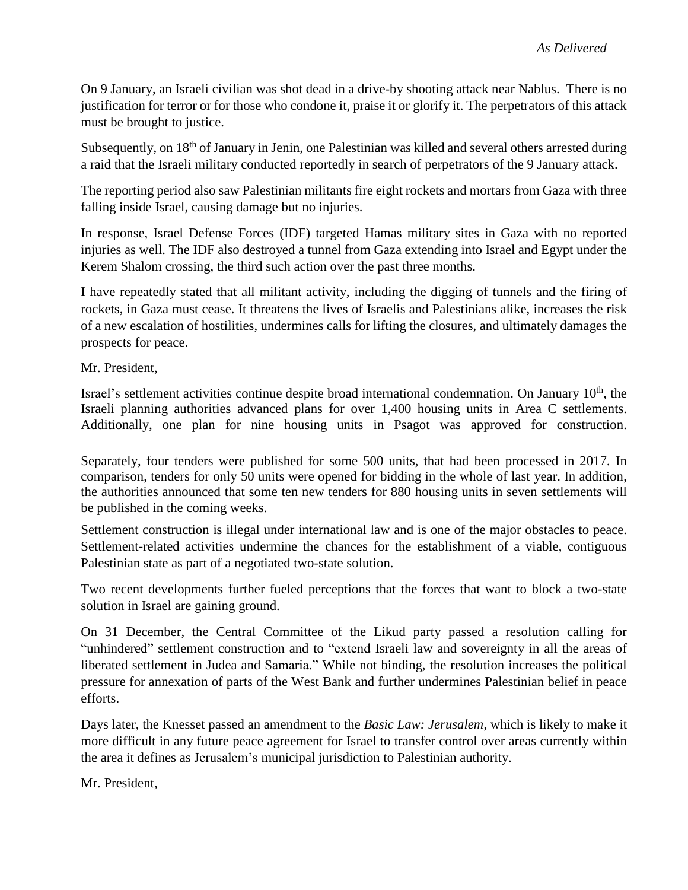On 9 January, an Israeli civilian was shot dead in a drive-by shooting attack near Nablus. There is no justification for terror or for those who condone it, praise it or glorify it. The perpetrators of this attack must be brought to justice.

Subsequently, on 18<sup>th</sup> of January in Jenin, one Palestinian was killed and several others arrested during a raid that the Israeli military conducted reportedly in search of perpetrators of the 9 January attack.

The reporting period also saw Palestinian militants fire eight rockets and mortars from Gaza with three falling inside Israel, causing damage but no injuries.

In response, Israel Defense Forces (IDF) targeted Hamas military sites in Gaza with no reported injuries as well. The IDF also destroyed a tunnel from Gaza extending into Israel and Egypt under the Kerem Shalom crossing, the third such action over the past three months.

I have repeatedly stated that all militant activity, including the digging of tunnels and the firing of rockets, in Gaza must cease. It threatens the lives of Israelis and Palestinians alike, increases the risk of a new escalation of hostilities, undermines calls for lifting the closures, and ultimately damages the prospects for peace.

Mr. President,

Israel's settlement activities continue despite broad international condemnation. On January 10<sup>th</sup>, the Israeli planning authorities advanced plans for over 1,400 housing units in Area C settlements. Additionally, one plan for nine housing units in Psagot was approved for construction.

Separately, four tenders were published for some 500 units, that had been processed in 2017. In comparison, tenders for only 50 units were opened for bidding in the whole of last year. In addition, the authorities announced that some ten new tenders for 880 housing units in seven settlements will be published in the coming weeks.

Settlement construction is illegal under international law and is one of the major obstacles to peace. Settlement-related activities undermine the chances for the establishment of a viable, contiguous Palestinian state as part of a negotiated two-state solution.

Two recent developments further fueled perceptions that the forces that want to block a two-state solution in Israel are gaining ground.

On 31 December, the Central Committee of the Likud party passed a resolution calling for "unhindered" settlement construction and to "extend Israeli law and sovereignty in all the areas of liberated settlement in Judea and Samaria." While not binding, the resolution increases the political pressure for annexation of parts of the West Bank and further undermines Palestinian belief in peace efforts.

Days later, the Knesset passed an amendment to the *Basic Law: Jerusalem*, which is likely to make it more difficult in any future peace agreement for Israel to transfer control over areas currently within the area it defines as Jerusalem's municipal jurisdiction to Palestinian authority.

Mr. President,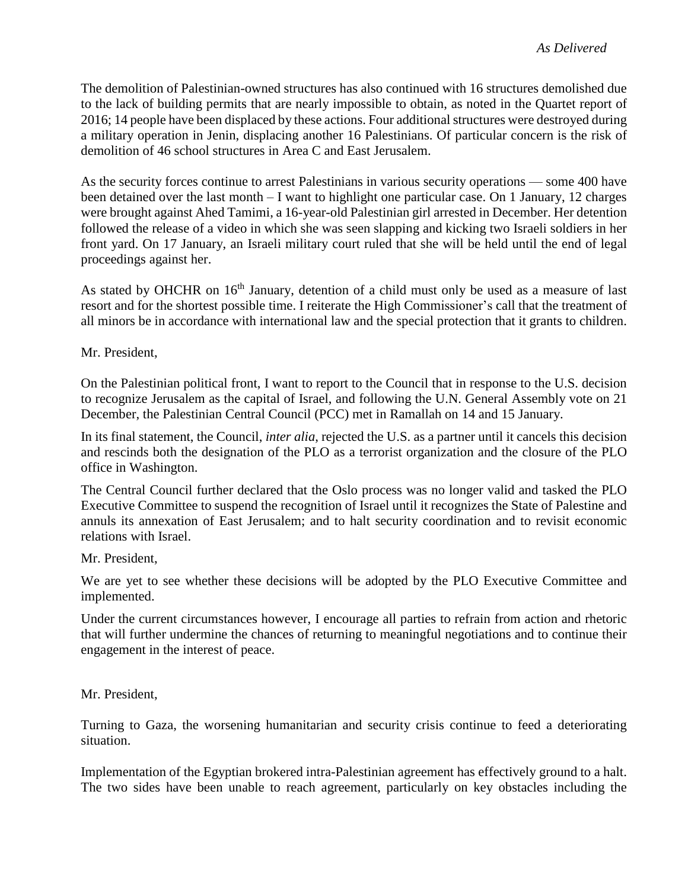The demolition of Palestinian-owned structures has also continued with 16 structures demolished due to the lack of building permits that are nearly impossible to obtain, as noted in the Quartet report of 2016; 14 people have been displaced by these actions. Four additional structures were destroyed during a military operation in Jenin, displacing another 16 Palestinians. Of particular concern is the risk of demolition of 46 school structures in Area C and East Jerusalem.

As the security forces continue to arrest Palestinians in various security operations — some 400 have been detained over the last month – I want to highlight one particular case. On 1 January, 12 charges were brought against Ahed Tamimi, a 16-year-old Palestinian girl arrested in December. Her detention followed the release of a video in which she was seen slapping and kicking two Israeli soldiers in her front yard. On 17 January, an Israeli military court ruled that she will be held until the end of legal proceedings against her.

As stated by OHCHR on 16<sup>th</sup> January, detention of a child must only be used as a measure of last resort and for the shortest possible time. I reiterate the High Commissioner's call that the treatment of all minors be in accordance with international law and the special protection that it grants to children.

Mr. President,

On the Palestinian political front, I want to report to the Council that in response to the U.S. decision to recognize Jerusalem as the capital of Israel, and following the U.N. General Assembly vote on 21 December, the Palestinian Central Council (PCC) met in Ramallah on 14 and 15 January.

In its final statement, the Council, *inter alia*, rejected the U.S. as a partner until it cancels this decision and rescinds both the designation of the PLO as a terrorist organization and the closure of the PLO office in Washington.

The Central Council further declared that the Oslo process was no longer valid and tasked the PLO Executive Committee to suspend the recognition of Israel until it recognizes the State of Palestine and annuls its annexation of East Jerusalem; and to halt security coordination and to revisit economic relations with Israel.

Mr. President,

We are yet to see whether these decisions will be adopted by the PLO Executive Committee and implemented.

Under the current circumstances however, I encourage all parties to refrain from action and rhetoric that will further undermine the chances of returning to meaningful negotiations and to continue their engagement in the interest of peace.

Mr. President,

Turning to Gaza, the worsening humanitarian and security crisis continue to feed a deteriorating situation.

Implementation of the Egyptian brokered intra-Palestinian agreement has effectively ground to a halt. The two sides have been unable to reach agreement, particularly on key obstacles including the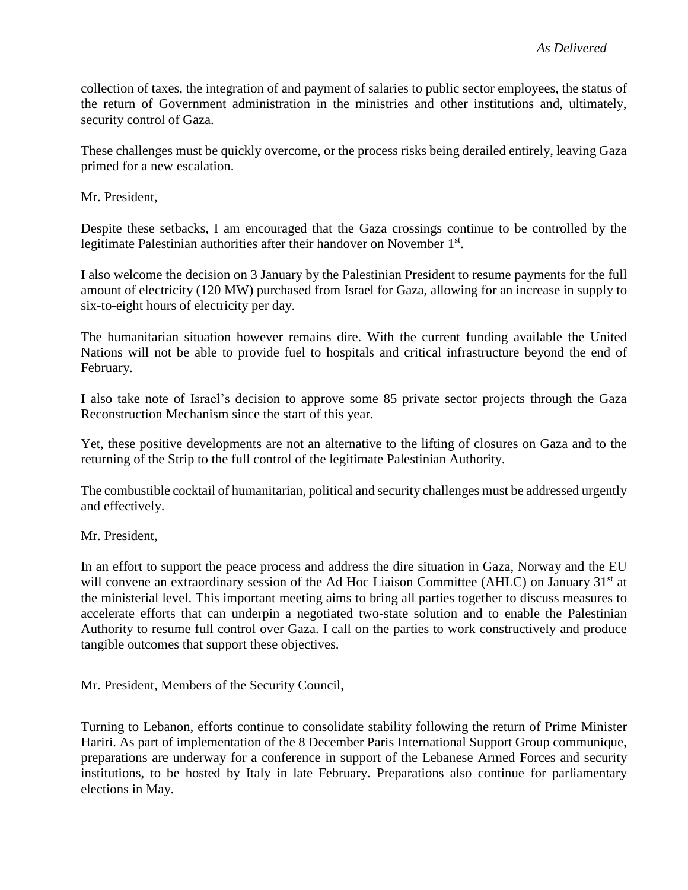collection of taxes, the integration of and payment of salaries to public sector employees, the status of the return of Government administration in the ministries and other institutions and, ultimately, security control of Gaza.

These challenges must be quickly overcome, or the process risks being derailed entirely, leaving Gaza primed for a new escalation.

Mr. President,

Despite these setbacks, I am encouraged that the Gaza crossings continue to be controlled by the legitimate Palestinian authorities after their handover on November 1st.

I also welcome the decision on 3 January by the Palestinian President to resume payments for the full amount of electricity (120 MW) purchased from Israel for Gaza, allowing for an increase in supply to six-to-eight hours of electricity per day.

The humanitarian situation however remains dire. With the current funding available the United Nations will not be able to provide fuel to hospitals and critical infrastructure beyond the end of February.

I also take note of Israel's decision to approve some 85 private sector projects through the Gaza Reconstruction Mechanism since the start of this year.

Yet, these positive developments are not an alternative to the lifting of closures on Gaza and to the returning of the Strip to the full control of the legitimate Palestinian Authority.

The combustible cocktail of humanitarian, political and security challenges must be addressed urgently and effectively.

### Mr. President,

In an effort to support the peace process and address the dire situation in Gaza, Norway and the EU will convene an extraordinary session of the Ad Hoc Liaison Committee (AHLC) on January 31<sup>st</sup> at the ministerial level. This important meeting aims to bring all parties together to discuss measures to accelerate efforts that can underpin a negotiated two-state solution and to enable the Palestinian Authority to resume full control over Gaza. I call on the parties to work constructively and produce tangible outcomes that support these objectives.

Mr. President, Members of the Security Council,

Turning to Lebanon, efforts continue to consolidate stability following the return of Prime Minister Hariri. As part of implementation of the 8 December Paris International Support Group communique, preparations are underway for a conference in support of the Lebanese Armed Forces and security institutions, to be hosted by Italy in late February. Preparations also continue for parliamentary elections in May.